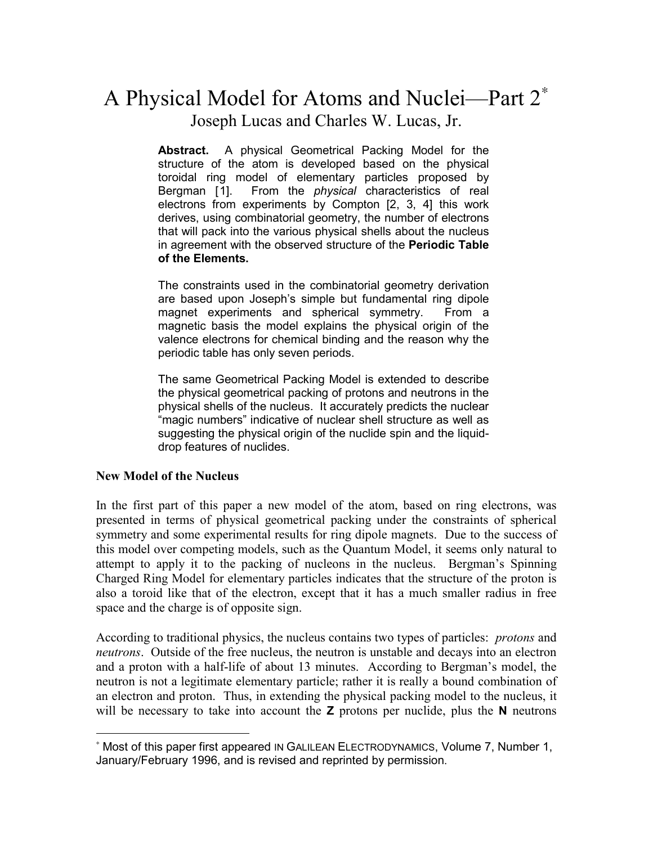# A Physical Model for Atoms and Nuclei—Part 2<sup>∗</sup> Joseph Lucas and Charles W. Lucas, Jr.

**Abstract.** A physical Geometrical Packing Model for the structure of the atom is developed based on the physical toroidal ring model of elementary particles proposed by Bergman [1]. From the *physical* characteristics of real electrons from experiments by Compton [2, 3, 4] this work derives, using combinatorial geometry, the number of electrons that will pack into the various physical shells about the nucleus in agreement with the observed structure of the **Periodic Table of the Elements.**

The constraints used in the combinatorial geometry derivation are based upon Joseph's simple but fundamental ring dipole magnet experiments and spherical symmetry. From a magnetic basis the model explains the physical origin of the valence electrons for chemical binding and the reason why the periodic table has only seven periods.

The same Geometrical Packing Model is extended to describe the physical geometrical packing of protons and neutrons in the physical shells of the nucleus. It accurately predicts the nuclear "magic numbers" indicative of nuclear shell structure as well as suggesting the physical origin of the nuclide spin and the liquiddrop features of nuclides.

#### **New Model of the Nucleus**

 $\overline{a}$ 

In the first part of this paper a new model of the atom, based on ring electrons, was presented in terms of physical geometrical packing under the constraints of spherical symmetry and some experimental results for ring dipole magnets. Due to the success of this model over competing models, such as the Quantum Model, it seems only natural to attempt to apply it to the packing of nucleons in the nucleus. Bergman's Spinning Charged Ring Model for elementary particles indicates that the structure of the proton is also a toroid like that of the electron, except that it has a much smaller radius in free space and the charge is of opposite sign.

According to traditional physics, the nucleus contains two types of particles: *protons* and *neutrons*. Outside of the free nucleus, the neutron is unstable and decays into an electron and a proton with a half-life of about 13 minutes. According to Bergman's model, the neutron is not a legitimate elementary particle; rather it is really a bound combination of an electron and proton. Thus, in extending the physical packing model to the nucleus, it will be necessary to take into account the **Z** protons per nuclide, plus the **N** neutrons

<sup>∗</sup> Most of this paper first appeared IN GALILEAN ELECTRODYNAMICS, Volume 7, Number 1, January/February 1996, and is revised and reprinted by permission.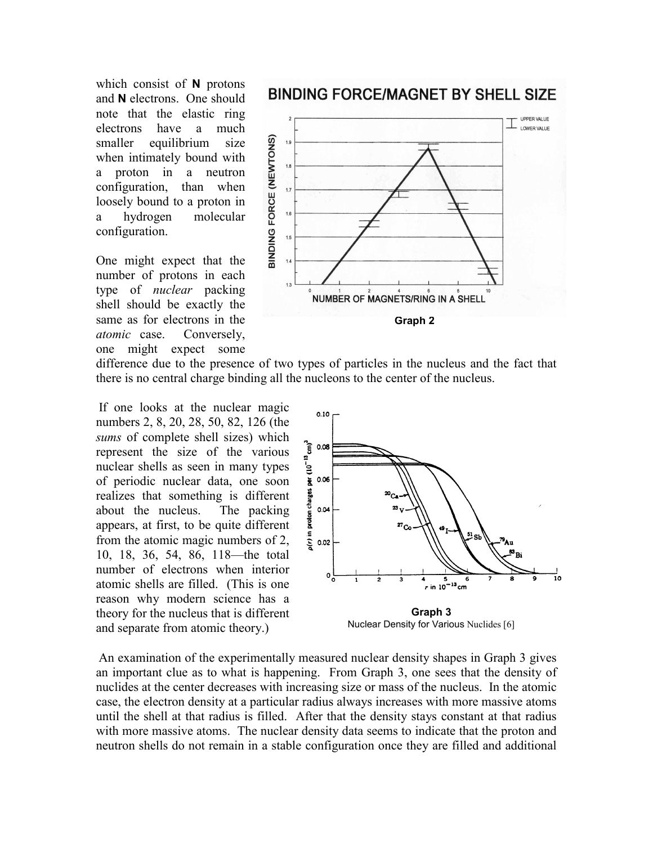which consist of **N** protons and **N** electrons. One should note that the elastic ring electrons have a much smaller equilibrium size when intimately bound with a proton in a neutron configuration, than when loosely bound to a proton in a hydrogen molecular configuration.

One might expect that the number of protons in each type of *nuclear* packing shell should be exactly the same as for electrons in the *atomic* case. Conversely, one might expect some

## **BINDING FORCE/MAGNET BY SHELL SIZE**



difference due to the presence of two types of particles in the nucleus and the fact that there is no central charge binding all the nucleons to the center of the nucleus.

If one looks at the nuclear magic numbers 2, 8, 20, 28, 50, 82, 126 (the *sums* of complete shell sizes) which represent the size of the various nuclear shells as seen in many types of periodic nuclear data, one soon realizes that something is different about the nucleus. The packing appears, at first, to be quite different from the atomic magic numbers of 2, 10, 18, 36, 54, 86, 118—the total number of electrons when interior atomic shells are filled. (This is one reason why modern science has a theory for the nucleus that is different and separate from atomic theory.)



Nuclear Density for Various Nuclides [6]

An examination of the experimentally measured nuclear density shapes in Graph 3 gives an important clue as to what is happening. From Graph 3, one sees that the density of nuclides at the center decreases with increasing size or mass of the nucleus. In the atomic case, the electron density at a particular radius always increases with more massive atoms until the shell at that radius is filled. After that the density stays constant at that radius with more massive atoms. The nuclear density data seems to indicate that the proton and neutron shells do not remain in a stable configuration once they are filled and additional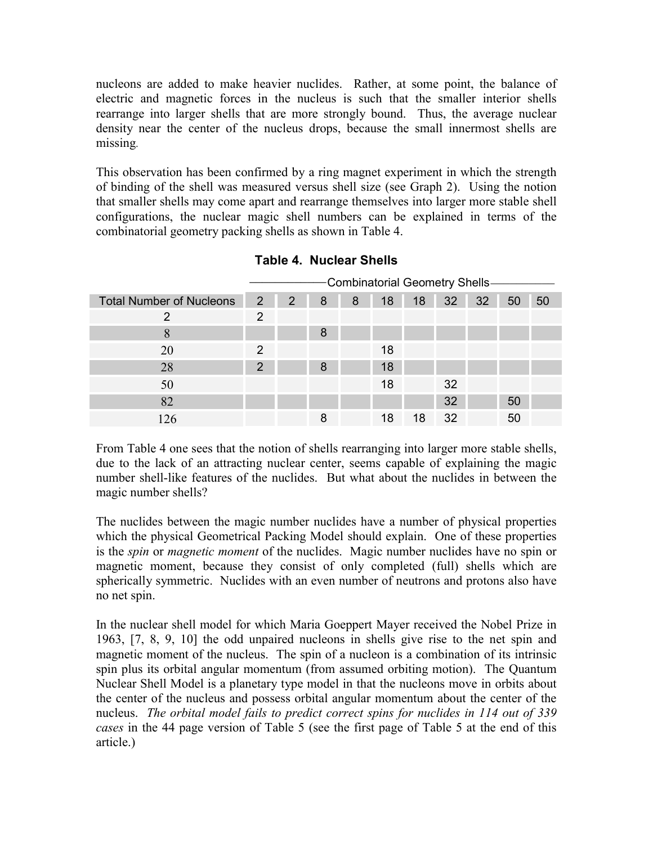nucleons are added to make heavier nuclides. Rather, at some point, the balance of electric and magnetic forces in the nucleus is such that the smaller interior shells rearrange into larger shells that are more strongly bound. Thus, the average nuclear density near the center of the nucleus drops, because the small innermost shells are missing.

This observation has been confirmed by a ring magnet experiment in which the strength of binding of the shell was measured versus shell size (see Graph 2). Using the notion that smaller shells may come apart and rearrange themselves into larger more stable shell configurations, the nuclear magic shell numbers can be explained in terms of the combinatorial geometry packing shells as shown in Table 4.

|                                 | -Combinatorial Geometry Shells- |   |   |   |    |    |    |    |    |    |  |  |  |  |
|---------------------------------|---------------------------------|---|---|---|----|----|----|----|----|----|--|--|--|--|
| <b>Total Number of Nucleons</b> | 2                               | 2 | 8 | 8 | 18 | 18 | 32 | 32 | 50 | 50 |  |  |  |  |
| 2                               | 2                               |   |   |   |    |    |    |    |    |    |  |  |  |  |
| 8                               |                                 |   | 8 |   |    |    |    |    |    |    |  |  |  |  |
| 20                              | $\mathcal{P}$                   |   |   |   | 18 |    |    |    |    |    |  |  |  |  |
| 28                              | 2                               |   | 8 |   | 18 |    |    |    |    |    |  |  |  |  |
| 50                              |                                 |   |   |   | 18 |    | 32 |    |    |    |  |  |  |  |
| 82                              |                                 |   |   |   |    |    | 32 |    | 50 |    |  |  |  |  |
| 126                             |                                 |   | 8 |   | 18 | 18 | 32 |    | 50 |    |  |  |  |  |

**Table 4. Nuclear Shells**

From Table 4 one sees that the notion of shells rearranging into larger more stable shells, due to the lack of an attracting nuclear center, seems capable of explaining the magic number shell-like features of the nuclides. But what about the nuclides in between the magic number shells?

The nuclides between the magic number nuclides have a number of physical properties which the physical Geometrical Packing Model should explain. One of these properties is the *spin* or *magnetic moment* of the nuclides. Magic number nuclides have no spin or magnetic moment, because they consist of only completed (full) shells which are spherically symmetric. Nuclides with an even number of neutrons and protons also have no net spin.

In the nuclear shell model for which Maria Goeppert Mayer received the Nobel Prize in 1963, [7, 8, 9, 10] the odd unpaired nucleons in shells give rise to the net spin and magnetic moment of the nucleus. The spin of a nucleon is a combination of its intrinsic spin plus its orbital angular momentum (from assumed orbiting motion). The Quantum Nuclear Shell Model is a planetary type model in that the nucleons move in orbits about the center of the nucleus and possess orbital angular momentum about the center of the nucleus. *The orbital model fails to predict correct spins for nuclides in 114 out of 339 cases* in the 44 page version of Table 5 (see the first page of Table 5 at the end of this article.)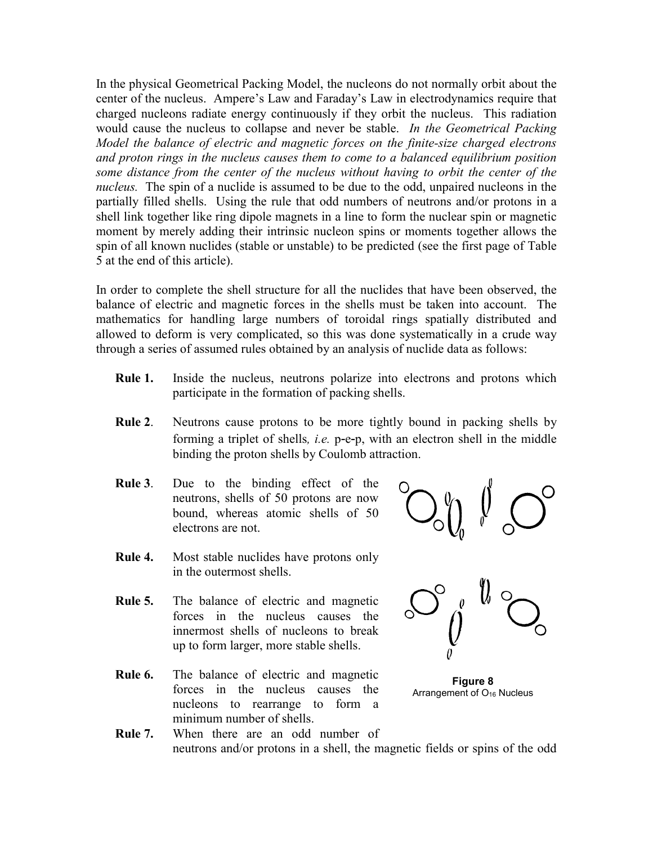In the physical Geometrical Packing Model, the nucleons do not normally orbit about the center of the nucleus. Ampere's Law and Faraday's Law in electrodynamics require that charged nucleons radiate energy continuously if they orbit the nucleus. This radiation would cause the nucleus to collapse and never be stable. *In the Geometrical Packing Model the balance of electric and magnetic forces on the finite-size charged electrons and proton rings in the nucleus causes them to come to a balanced equilibrium position some distance from the center of the nucleus without having to orbit the center of the nucleus.* The spin of a nuclide is assumed to be due to the odd, unpaired nucleons in the partially filled shells. Using the rule that odd numbers of neutrons and/or protons in a shell link together like ring dipole magnets in a line to form the nuclear spin or magnetic moment by merely adding their intrinsic nucleon spins or moments together allows the spin of all known nuclides (stable or unstable) to be predicted (see the first page of Table 5 at the end of this article).

In order to complete the shell structure for all the nuclides that have been observed, the balance of electric and magnetic forces in the shells must be taken into account. The mathematics for handling large numbers of toroidal rings spatially distributed and allowed to deform is very complicated, so this was done systematically in a crude way through a series of assumed rules obtained by an analysis of nuclide data as follows:

- **Rule 1.** Inside the nucleus, neutrons polarize into electrons and protons which participate in the formation of packing shells.
- **Rule 2**. Neutrons cause protons to be more tightly bound in packing shells by forming a triplet of shells*, i.e.* p-e-p, with an electron shell in the middle binding the proton shells by Coulomb attraction.
- **Rule 3**. Due to the binding effect of the neutrons, shells of 50 protons are now bound, whereas atomic shells of 50 electrons are not.
- 
- **Rule 4.** Most stable nuclides have protons only in the outermost shells.
- **Rule 5.** The balance of electric and magnetic forces in the nucleus causes the innermost shells of nucleons to break up to form larger, more stable shells.
- **Rule 6.** The balance of electric and magnetic forces in the nucleus causes the nucleons to rearrange to form a minimum number of shells.



**Figure 8** Arrangement of  $O_{16}$  Nucleus

**Rule 7.** When there are an odd number of neutrons and/or protons in a shell, the magnetic fields or spins of the odd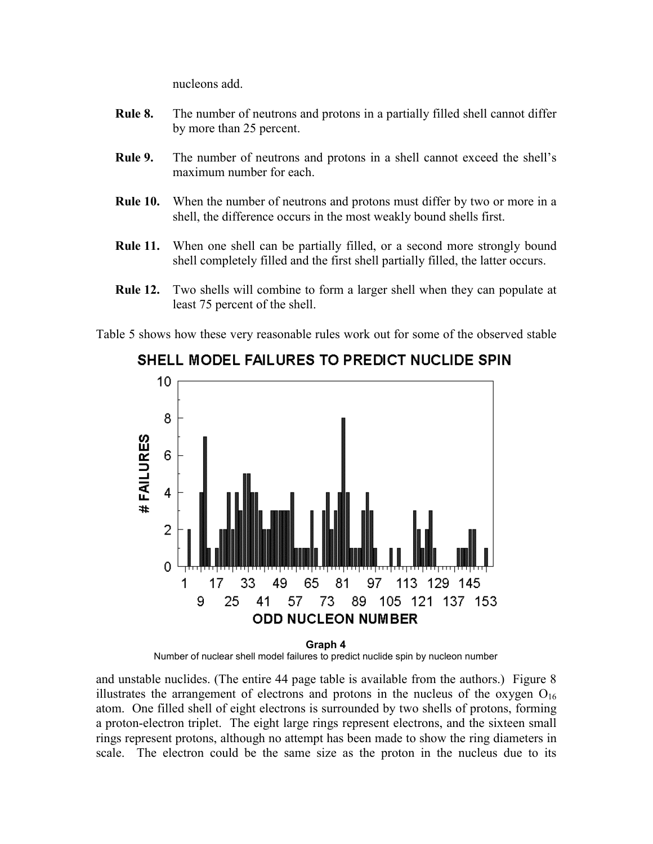nucleons add.

- **Rule 8.** The number of neutrons and protons in a partially filled shell cannot differ by more than 25 percent.
- **Rule 9.** The number of neutrons and protons in a shell cannot exceed the shell's maximum number for each.
- **Rule 10.** When the number of neutrons and protons must differ by two or more in a shell, the difference occurs in the most weakly bound shells first.
- **Rule 11.** When one shell can be partially filled, or a second more strongly bound shell completely filled and the first shell partially filled, the latter occurs.
- **Rule 12.** Two shells will combine to form a larger shell when they can populate at least 75 percent of the shell.

Table 5 shows how these very reasonable rules work out for some of the observed stable



## SHELL MODEL FAILURES TO PREDICT NUCLIDE SPIN

**Graph 4** Number of nuclear shell model failures to predict nuclide spin by nucleon number

and unstable nuclides. (The entire 44 page table is available from the authors.) Figure 8 illustrates the arrangement of electrons and protons in the nucleus of the oxygen  $O_{16}$ atom. One filled shell of eight electrons is surrounded by two shells of protons, forming a proton-electron triplet. The eight large rings represent electrons, and the sixteen small rings represent protons, although no attempt has been made to show the ring diameters in scale. The electron could be the same size as the proton in the nucleus due to its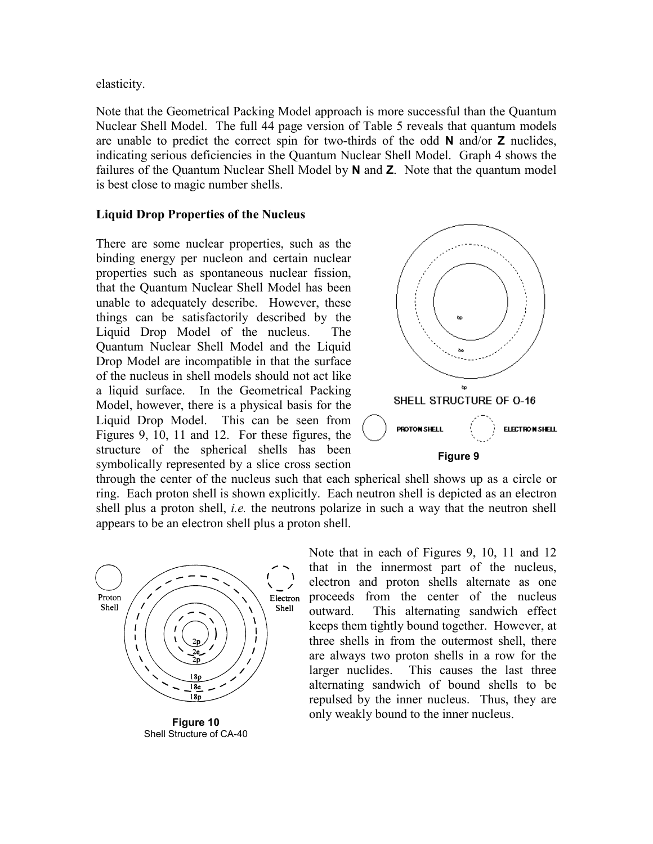elasticity.

Note that the Geometrical Packing Model approach is more successful than the Quantum Nuclear Shell Model. The full 44 page version of Table 5 reveals that quantum models are unable to predict the correct spin for two-thirds of the odd **N** and/or **Z** nuclides, indicating serious deficiencies in the Quantum Nuclear Shell Model. Graph 4 shows the failures of the Quantum Nuclear Shell Model by **N** and **Z**. Note that the quantum model is best close to magic number shells.

#### **Liquid Drop Properties of the Nucleus**

There are some nuclear properties, such as the binding energy per nucleon and certain nuclear properties such as spontaneous nuclear fission, that the Quantum Nuclear Shell Model has been unable to adequately describe. However, these things can be satisfactorily described by the Liquid Drop Model of the nucleus. The Quantum Nuclear Shell Model and the Liquid Drop Model are incompatible in that the surface of the nucleus in shell models should not act like a liquid surface. In the Geometrical Packing Model, however, there is a physical basis for the Liquid Drop Model. This can be seen from Figures 9, 10, 11 and 12. For these figures, the structure of the spherical shells has been symbolically represented by a slice cross section



through the center of the nucleus such that each spherical shell shows up as a circle or ring. Each proton shell is shown explicitly. Each neutron shell is depicted as an electron shell plus a proton shell, *i.e.* the neutrons polarize in such a way that the neutron shell appears to be an electron shell plus a proton shell.



**Figure 10** Shell Structure of CA-40

Note that in each of Figures 9, 10, 11 and 12 that in the innermost part of the nucleus, electron and proton shells alternate as one proceeds from the center of the nucleus outward. This alternating sandwich effect keeps them tightly bound together. However, at three shells in from the outermost shell, there are always two proton shells in a row for the larger nuclides. This causes the last three alternating sandwich of bound shells to be repulsed by the inner nucleus. Thus, they are only weakly bound to the inner nucleus.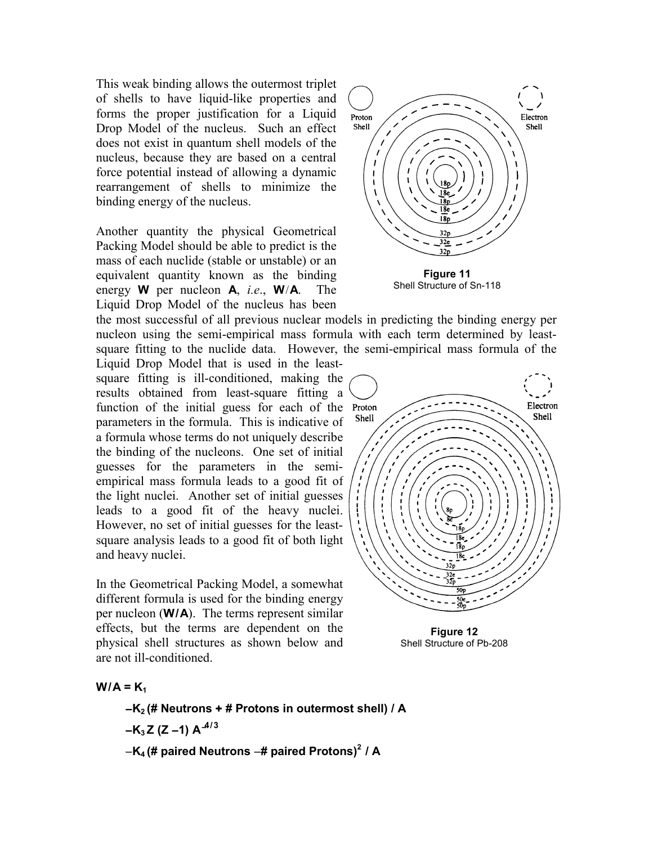This weak binding allows the outermost triplet of shells to have liquid-like properties and forms the proper justification for a Liquid Drop Model of the nucleus. Such an effect does not exist in quantum shell models of the nucleus, because they are based on a central force potential instead of allowing a dynamic rearrangement of shells to minimize the binding energy of the nucleus.

Another quantity the physical Geometrical Packing Model should be able to predict is the mass of each nuclide (stable or unstable) or an equivalent quantity known as the binding energy **W** per nucleon **A**, *i.e*., **W**/**A**. The Liquid Drop Model of the nucleus has been



Shell Structure of Sn-118

the most successful of all previous nuclear models in predicting the binding energy per nucleon using the semi-empirical mass formula with each term determined by leastsquare fitting to the nuclide data. However, the semi-empirical mass formula of the

Liquid Drop Model that is used in the leastsquare fitting is ill-conditioned, making the results obtained from least-square fitting a function of the initial guess for each of the Proton parameters in the formula. This is indicative of a formula whose terms do not uniquely describe the binding of the nucleons. One set of initial guesses for the parameters in the semiempirical mass formula leads to a good fit of the light nuclei. Another set of initial guesses leads to a good fit of the heavy nuclei. However, no set of initial guesses for the leastsquare analysis leads to a good fit of both light and heavy nuclei.

In the Geometrical Packing Model, a somewhat different formula is used for the binding energy per nucleon (**W/A**). The terms represent similar effects, but the terms are dependent on the physical shell structures as shown below and are not ill-conditioned.



**Figure 12** Shell Structure of Pb-208

 $W/A = K_1$ 

- −**K2 (# Neutrons** + **# Protons in outermost shell) / A** −**K3 Z (Z** −**1) A**−**4/3**
- −**K4 (# paired Neutrons** −**# paired Protons)2 / A**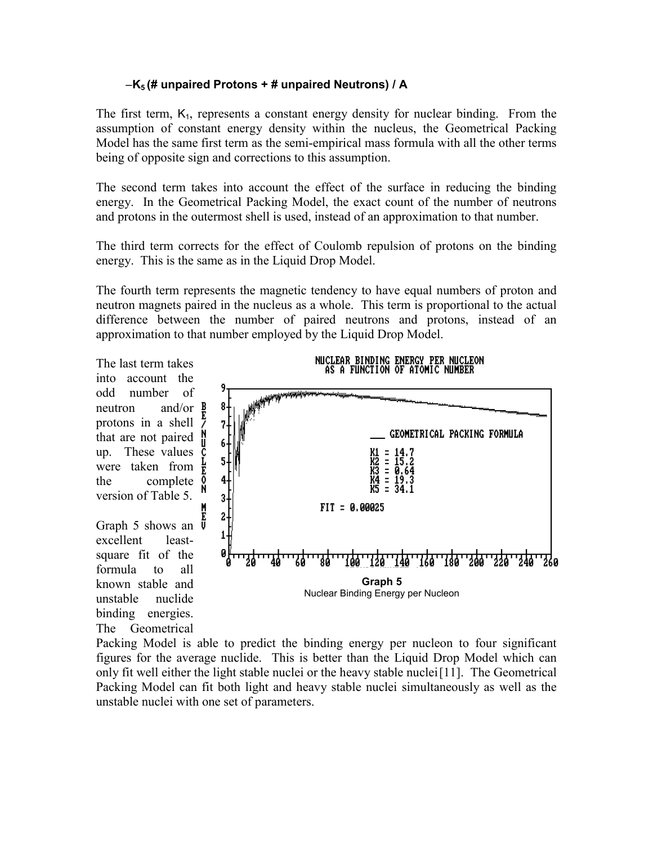#### −**K5 (# unpaired Protons** + **# unpaired Neutrons) / A**

The first term,  $K_1$ , represents a constant energy density for nuclear binding. From the assumption of constant energy density within the nucleus, the Geometrical Packing Model has the same first term as the semi-empirical mass formula with all the other terms being of opposite sign and corrections to this assumption.

The second term takes into account the effect of the surface in reducing the binding energy. In the Geometrical Packing Model, the exact count of the number of neutrons and protons in the outermost shell is used, instead of an approximation to that number.

The third term corrects for the effect of Coulomb repulsion of protons on the binding energy. This is the same as in the Liquid Drop Model.

The fourth term represents the magnetic tendency to have equal numbers of proton and neutron magnets paired in the nucleus as a whole. This term is proportional to the actual difference between the number of paired neutrons and protons, instead of an approximation to that number employed by the Liquid Drop Model.

The last term takes into account the odd number of neutron and/or **B** protons in a shell that are not paired up. These values  $\bar{c}$ were taken from  $\frac{1}{k}$ the complete  $\begin{matrix} 0 \\ 1 \end{matrix}$ version of Table 5.

Graph 5 shows an  $\overline{V}$ excellent leastsquare fit of the formula to all known stable and unstable nuclide binding energies. The Geometrical



Packing Model is able to predict the binding energy per nucleon to four significant figures for the average nuclide. This is better than the Liquid Drop Model which can only fit well either the light stable nuclei or the heavy stable nuclei [11]. The Geometrical Packing Model can fit both light and heavy stable nuclei simultaneously as well as the unstable nuclei with one set of parameters.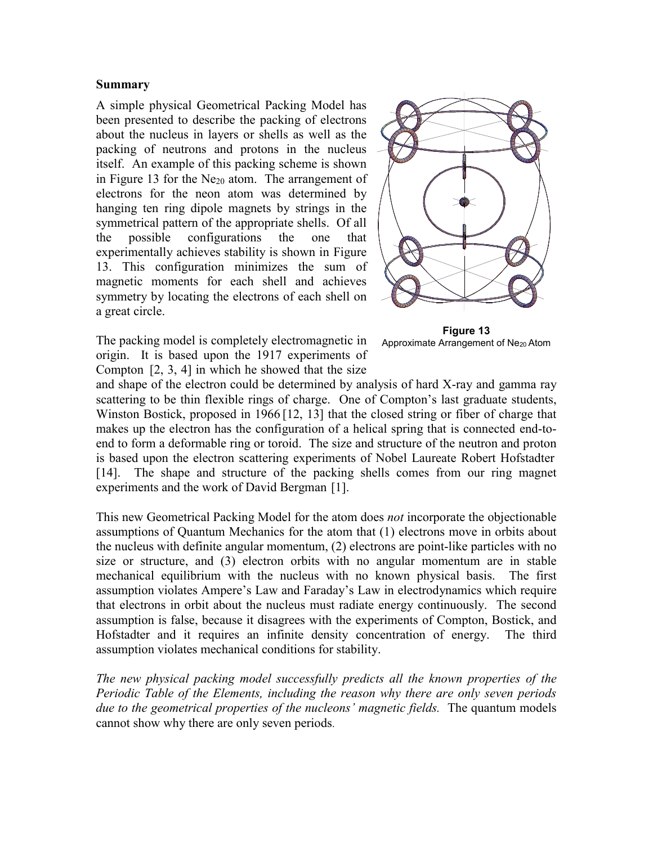#### **Summary**

A simple physical Geometrical Packing Model has been presented to describe the packing of electrons about the nucleus in layers or shells as well as the packing of neutrons and protons in the nucleus itself. An example of this packing scheme is shown in Figure 13 for the  $Ne_{20}$  atom. The arrangement of electrons for the neon atom was determined by hanging ten ring dipole magnets by strings in the symmetrical pattern of the appropriate shells. Of all the possible configurations the one that experimentally achieves stability is shown in Figure 13. This configuration minimizes the sum of magnetic moments for each shell and achieves symmetry by locating the electrons of each shell on a great circle.



The packing model is completely electromagnetic in origin. It is based upon the 1917 experiments of Compton [2, 3, 4] in which he showed that the size

**Figure 13** Approximate Arrangement of Ne<sub>20</sub> Atom

and shape of the electron could be determined by analysis of hard X-ray and gamma ray scattering to be thin flexible rings of charge. One of Compton's last graduate students, Winston Bostick, proposed in 1966 [12, 13] that the closed string or fiber of charge that makes up the electron has the configuration of a helical spring that is connected end-toend to form a deformable ring or toroid. The size and structure of the neutron and proton is based upon the electron scattering experiments of Nobel Laureate Robert Hofstadter [14]. The shape and structure of the packing shells comes from our ring magnet experiments and the work of David Bergman [1].

This new Geometrical Packing Model for the atom does *not* incorporate the objectionable assumptions of Quantum Mechanics for the atom that (1) electrons move in orbits about the nucleus with definite angular momentum, (2) electrons are point-like particles with no size or structure, and (3) electron orbits with no angular momentum are in stable mechanical equilibrium with the nucleus with no known physical basis. The first assumption violates Ampere's Law and Faraday's Law in electrodynamics which require that electrons in orbit about the nucleus must radiate energy continuously. The second assumption is false, because it disagrees with the experiments of Compton, Bostick, and Hofstadter and it requires an infinite density concentration of energy. The third assumption violates mechanical conditions for stability.

*The new physical packing model successfully predicts all the known properties of the Periodic Table of the Elements, including the reason why there are only seven periods due to the geometrical properties of the nucleons' magnetic fields.* The quantum models cannot show why there are only seven periods.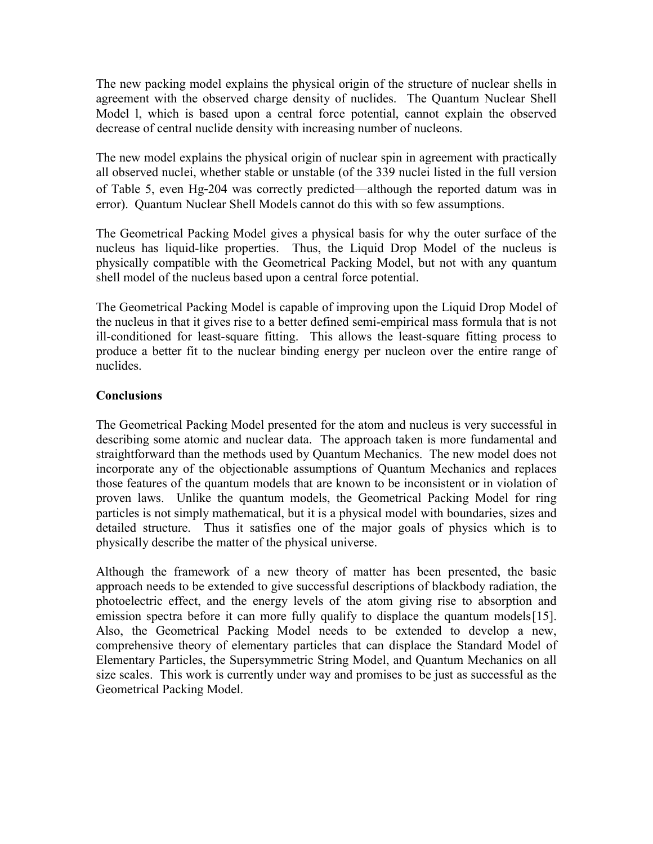The new packing model explains the physical origin of the structure of nuclear shells in agreement with the observed charge density of nuclides. The Quantum Nuclear Shell Model l, which is based upon a central force potential, cannot explain the observed decrease of central nuclide density with increasing number of nucleons.

The new model explains the physical origin of nuclear spin in agreement with practically all observed nuclei, whether stable or unstable (of the 339 nuclei listed in the full version of Table 5, even Hg-204 was correctly predicted—although the reported datum was in error). Quantum Nuclear Shell Models cannot do this with so few assumptions.

The Geometrical Packing Model gives a physical basis for why the outer surface of the nucleus has liquid-like properties. Thus, the Liquid Drop Model of the nucleus is physically compatible with the Geometrical Packing Model, but not with any quantum shell model of the nucleus based upon a central force potential.

The Geometrical Packing Model is capable of improving upon the Liquid Drop Model of the nucleus in that it gives rise to a better defined semi-empirical mass formula that is not ill-conditioned for least-square fitting. This allows the least-square fitting process to produce a better fit to the nuclear binding energy per nucleon over the entire range of nuclides.

### **Conclusions**

The Geometrical Packing Model presented for the atom and nucleus is very successful in describing some atomic and nuclear data. The approach taken is more fundamental and straightforward than the methods used by Quantum Mechanics. The new model does not incorporate any of the objectionable assumptions of Quantum Mechanics and replaces those features of the quantum models that are known to be inconsistent or in violation of proven laws. Unlike the quantum models, the Geometrical Packing Model for ring particles is not simply mathematical, but it is a physical model with boundaries, sizes and detailed structure. Thus it satisfies one of the major goals of physics which is to physically describe the matter of the physical universe.

Although the framework of a new theory of matter has been presented, the basic approach needs to be extended to give successful descriptions of blackbody radiation, the photoelectric effect, and the energy levels of the atom giving rise to absorption and emission spectra before it can more fully qualify to displace the quantum models [15]. Also, the Geometrical Packing Model needs to be extended to develop a new, comprehensive theory of elementary particles that can displace the Standard Model of Elementary Particles, the Supersymmetric String Model, and Quantum Mechanics on all size scales. This work is currently under way and promises to be just as successful as the Geometrical Packing Model.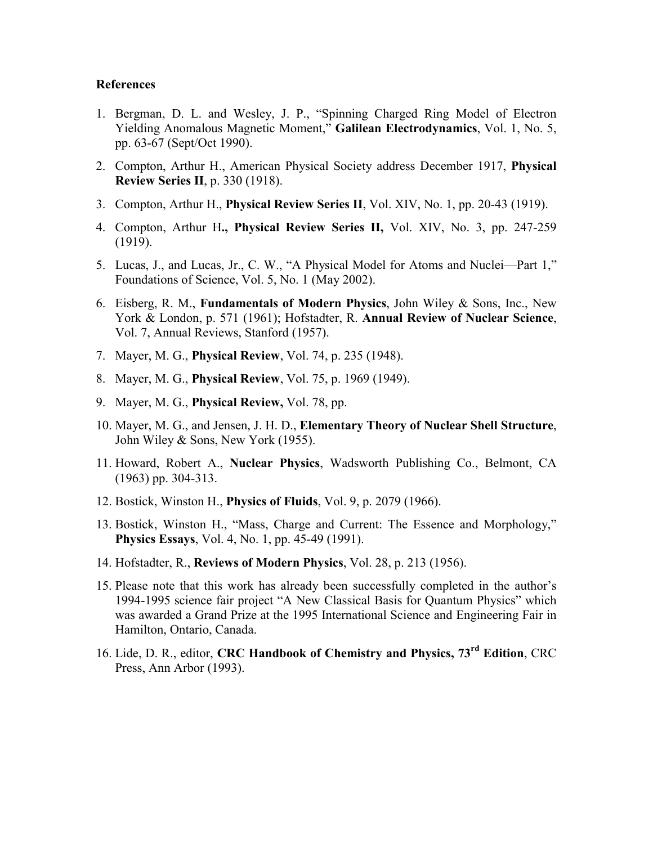#### **References**

- 1. Bergman, D. L. and Wesley, J. P., "Spinning Charged Ring Model of Electron Yielding Anomalous Magnetic Moment," **Galilean Electrodynamics**, Vol. 1, No. 5, pp. 63-67 (Sept/Oct 1990).
- 2. Compton, Arthur H., American Physical Society address December 1917, **Physical Review Series II**, p. 330 (1918).
- 3. Compton, Arthur H., **Physical Review Series II**, Vol. XIV, No. 1, pp. 20-43 (1919).
- 4. Compton, Arthur H**., Physical Review Series II,** Vol. XIV, No. 3, pp. 247-259 (1919).
- 5. Lucas, J., and Lucas, Jr., C. W., "A Physical Model for Atoms and Nuclei—Part 1," Foundations of Science, Vol. 5, No. 1 (May 2002).
- 6. Eisberg, R. M., **Fundamentals of Modern Physics**, John Wiley & Sons, Inc., New York & London, p. 571 (1961); Hofstadter, R. **Annual Review of Nuclear Science**, Vol. 7, Annual Reviews, Stanford (1957).
- 7. Mayer, M. G., **Physical Review**, Vol. 74, p. 235 (1948).
- 8. Mayer, M. G., **Physical Review**, Vol. 75, p. 1969 (1949).
- 9. Mayer, M. G., **Physical Review,** Vol. 78, pp.
- 10. Mayer, M. G., and Jensen, J. H. D., **Elementary Theory of Nuclear Shell Structure**, John Wiley & Sons, New York (1955).
- 11. Howard, Robert A., **Nuclear Physics**, Wadsworth Publishing Co., Belmont, CA (1963) pp. 304-313.
- 12. Bostick, Winston H., **Physics of Fluids**, Vol. 9, p. 2079 (1966).
- 13. Bostick, Winston H., "Mass, Charge and Current: The Essence and Morphology," **Physics Essays**, Vol. 4, No. 1, pp. 45-49 (1991).
- 14. Hofstadter, R., **Reviews of Modern Physics**, Vol. 28, p. 213 (1956).
- 15. Please note that this work has already been successfully completed in the author's 1994-1995 science fair project "A New Classical Basis for Quantum Physics" which was awarded a Grand Prize at the 1995 International Science and Engineering Fair in Hamilton, Ontario, Canada.
- 16. Lide, D. R., editor, **CRC Handbook of Chemistry and Physics, 73rd Edition**, CRC Press, Ann Arbor (1993).